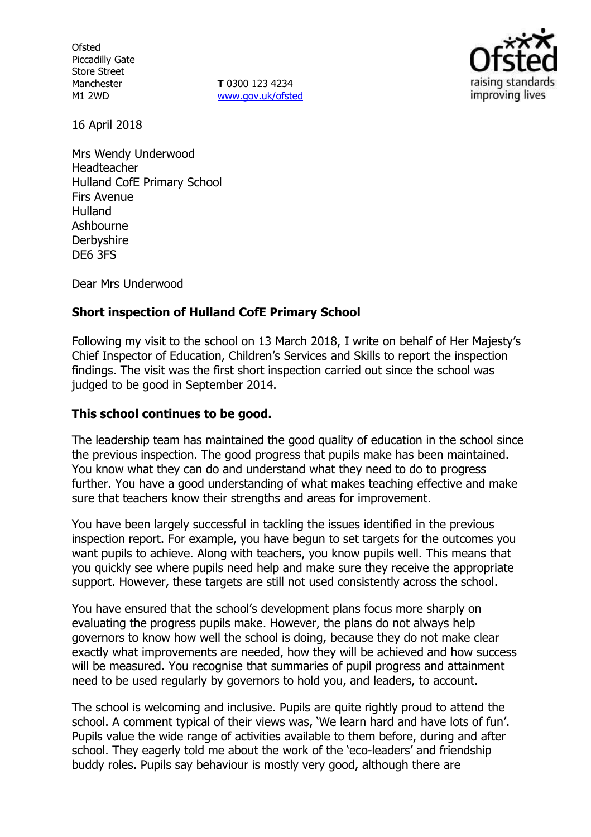**Ofsted** Piccadilly Gate Store Street Manchester M1 2WD

**T** 0300 123 4234 www.gov.uk/ofsted



16 April 2018

Mrs Wendy Underwood Headteacher Hulland CofE Primary School Firs Avenue Hulland Ashbourne **Derbyshire** DE6 3FS

Dear Mrs Underwood

# **Short inspection of Hulland CofE Primary School**

Following my visit to the school on 13 March 2018, I write on behalf of Her Majesty's Chief Inspector of Education, Children's Services and Skills to report the inspection findings. The visit was the first short inspection carried out since the school was judged to be good in September 2014.

# **This school continues to be good.**

The leadership team has maintained the good quality of education in the school since the previous inspection. The good progress that pupils make has been maintained. You know what they can do and understand what they need to do to progress further. You have a good understanding of what makes teaching effective and make sure that teachers know their strengths and areas for improvement.

You have been largely successful in tackling the issues identified in the previous inspection report. For example, you have begun to set targets for the outcomes you want pupils to achieve. Along with teachers, you know pupils well. This means that you quickly see where pupils need help and make sure they receive the appropriate support. However, these targets are still not used consistently across the school.

You have ensured that the school's development plans focus more sharply on evaluating the progress pupils make. However, the plans do not always help governors to know how well the school is doing, because they do not make clear exactly what improvements are needed, how they will be achieved and how success will be measured. You recognise that summaries of pupil progress and attainment need to be used regularly by governors to hold you, and leaders, to account.

The school is welcoming and inclusive. Pupils are quite rightly proud to attend the school. A comment typical of their views was, 'We learn hard and have lots of fun'. Pupils value the wide range of activities available to them before, during and after school. They eagerly told me about the work of the 'eco-leaders' and friendship buddy roles. Pupils say behaviour is mostly very good, although there are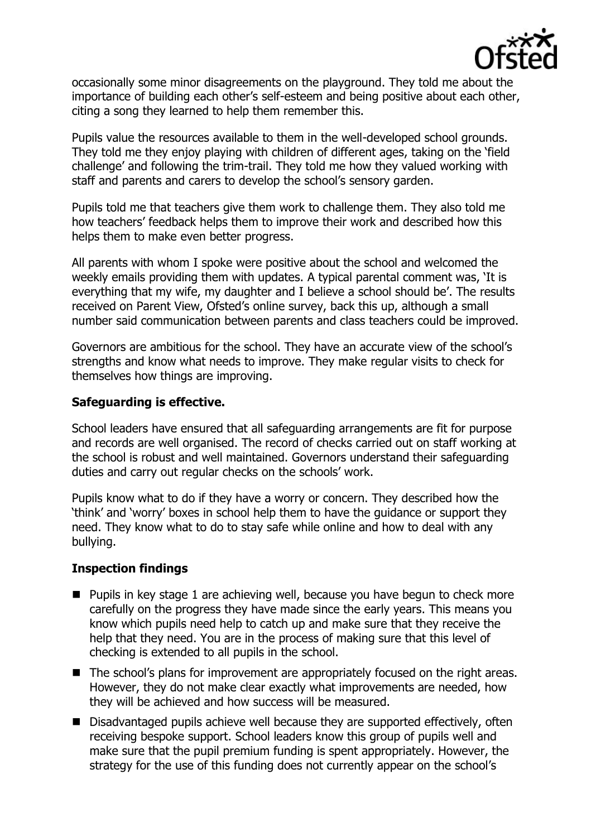

occasionally some minor disagreements on the playground. They told me about the importance of building each other's self-esteem and being positive about each other, citing a song they learned to help them remember this.

Pupils value the resources available to them in the well-developed school grounds. They told me they enjoy playing with children of different ages, taking on the 'field challenge' and following the trim-trail. They told me how they valued working with staff and parents and carers to develop the school's sensory garden.

Pupils told me that teachers give them work to challenge them. They also told me how teachers' feedback helps them to improve their work and described how this helps them to make even better progress.

All parents with whom I spoke were positive about the school and welcomed the weekly emails providing them with updates. A typical parental comment was, 'It is everything that my wife, my daughter and I believe a school should be'. The results received on Parent View, Ofsted's online survey, back this up, although a small number said communication between parents and class teachers could be improved.

Governors are ambitious for the school. They have an accurate view of the school's strengths and know what needs to improve. They make regular visits to check for themselves how things are improving.

# **Safeguarding is effective.**

School leaders have ensured that all safeguarding arrangements are fit for purpose and records are well organised. The record of checks carried out on staff working at the school is robust and well maintained. Governors understand their safeguarding duties and carry out regular checks on the schools' work.

Pupils know what to do if they have a worry or concern. They described how the 'think' and 'worry' boxes in school help them to have the guidance or support they need. They know what to do to stay safe while online and how to deal with any bullying.

## **Inspection findings**

- **Pupils in key stage 1 are achieving well, because you have begun to check more** carefully on the progress they have made since the early years. This means you know which pupils need help to catch up and make sure that they receive the help that they need. You are in the process of making sure that this level of checking is extended to all pupils in the school.
- The school's plans for improvement are appropriately focused on the right areas. However, they do not make clear exactly what improvements are needed, how they will be achieved and how success will be measured.
- Disadvantaged pupils achieve well because they are supported effectively, often receiving bespoke support. School leaders know this group of pupils well and make sure that the pupil premium funding is spent appropriately. However, the strategy for the use of this funding does not currently appear on the school's